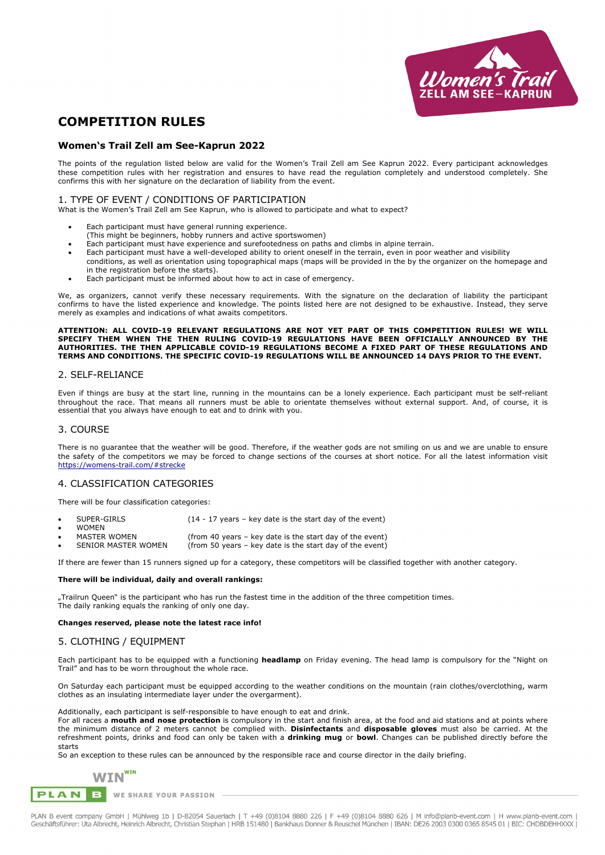

# **COMPETITION RULES**

## **Women's Trail Zell am See-Kaprun 2022**

The points of the regulation listed below are valid for the Women's Trail Zell am See Kaprun 2022. Every participant acknowledges these competition rules with her registration and ensures to have read the regulation completely and understood completely. She confirms this with her signature on the declaration of liability from the event.

#### 1. TYPE OF EVENT / CONDITIONS OF PARTICIPATION

What is the Women's Trail Zell am See Kaprun, who is allowed to participate and what to expect?

- Each participant must have general running experience.
- (This might be beginners, hobby runners and active sportswomen)
- Each participant must have experience and surefootedness on paths and climbs in alpine terrain.
- Each participant must have a well-developed ability to orient oneself in the terrain, even in poor weather and visibility conditions, as well as orientation using topographical maps (maps will be provided in the by the organizer on the homepage and in the registration before the starts).
- Each participant must be informed about how to act in case of emergency.

We, as organizers, cannot verify these necessary requirements. With the signature on the declaration of liability the participant confirms to have the listed experience and knowledge. The points listed here are not designed to be exhaustive. Instead, they serve merely as examples and indications of what awaits competitors.

#### **ATTENTION: ALL COVID-19 RELEVANT REGULATIONS ARE NOT YET PART OF THIS COMPETITION RULES! WE WILL SPECIFY THEM WHEN THE THEN RULING COVID-19 REGULATIONS HAVE BEEN OFFICIALLY ANNOUNCED BY THE AUTHORITIES. THE THEN APPLICABLE COVID-19 REGULATIONS BECOME A FIXED PART OF THESE REGULATIONS AND TERMS AND CONDITIONS. THE SPECIFIC COVID-19 REGULATIONS WILL BE ANNOUNCED 14 DAYS PRIOR TO THE EVENT.**

#### 2. SELF-RELIANCE

Even if things are busy at the start line, running in the mountains can be a lonely experience. Each participant must be self-reliant throughout the race. That means all runners must be able to orientate themselves without external support. And, of course, it is essential that you always have enough to eat and to drink with you.

#### 3. COURSE

There is no guarantee that the weather will be good. Therefore, if the weather gods are not smiling on us and we are unable to ensure the safety of the competitors we may be forced to change sections of the courses at short notice. For all the latest information visit https://womens-trail.com/#strecke

## 4. CLASSIFICATION CATEGORIES

There will be four classification categories:

- WOMEN<br>MASTER WOMEN
- MASTER WOMEN (from 40 years key date is the start day of the event)<br>SENIOR MASTER WOMEN (from 50 years key date is the start day of the event)  $\lim_{k \to \infty}$  SENIOR  $\lim_{k \to \infty}$  is the start day of the event)

If there are fewer than 15 runners signed up for a category, these competitors will be classified together with another category.

#### **There will be individual, daily and overall rankings:**

"Trailrun Queen" is the participant who has run the fastest time in the addition of the three competition times. The daily ranking equals the ranking of only one day.

#### **Changes reserved, please note the latest race info!**

#### 5. CLOTHING / EQUIPMENT

Each participant has to be equipped with a functioning **headlamp** on Friday evening. The head lamp is compulsory for the "Night on Trail" and has to be worn throughout the whole race.

On Saturday each participant must be equipped according to the weather conditions on the mountain (rain clothes/overclothing, warm clothes as an insulating intermediate layer under the overgarment).

Additionally, each participant is self-responsible to have enough to eat and drink.

For all races a **mouth and nose protection** is compulsory in the start and finish area, at the food and aid stations and at points where the minimum distance of 2 meters cannot be complied with. **Disinfectants** and **disposable gloves** must also be carried. At the refreshment points, drinks and food can only be taken with a **drinking mug** or **bowl**. Changes can be published directly before the starts

So an exception to these rules can be announced by the responsible race and course director in the daily briefing.



**PLAN** B WE SHARE YOUR PASSION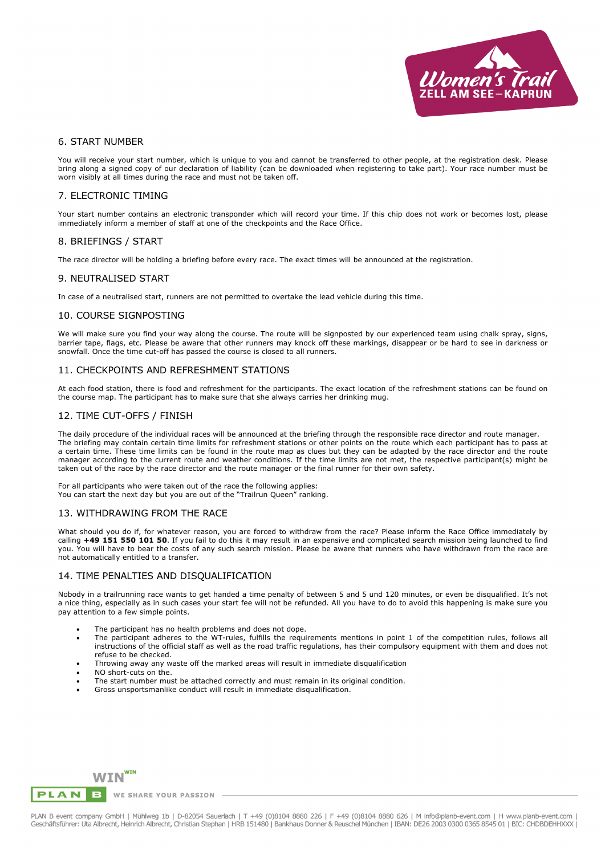

#### 6. START NUMBER

You will receive your start number, which is unique to you and cannot be transferred to other people, at the registration desk. Please bring along a signed copy of our declaration of liability (can be downloaded when registering to take part). Your race number must be worn visibly at all times during the race and must not be taken off.

#### 7. ELECTRONIC TIMING

Your start number contains an electronic transponder which will record your time. If this chip does not work or becomes lost, please immediately inform a member of staff at one of the checkpoints and the Race Office.

#### 8. BRIEFINGS / START

The race director will be holding a briefing before every race. The exact times will be announced at the registration.

## 9. NEUTRALISED START

In case of a neutralised start, runners are not permitted to overtake the lead vehicle during this time.

#### 10. COURSE SIGNPOSTING

We will make sure you find your way along the course. The route will be signposted by our experienced team using chalk spray, signs, barrier tape, flags, etc. Please be aware that other runners may knock off these markings, disappear or be hard to see in darkness or snowfall. Once the time cut-off has passed the course is closed to all runners.

## 11. CHECKPOINTS AND REFRESHMENT STATIONS

At each food station, there is food and refreshment for the participants. The exact location of the refreshment stations can be found on the course map. The participant has to make sure that she always carries her drinking mug.

#### 12. TIME CUT-OFFS / FINISH

The daily procedure of the individual races will be announced at the briefing through the responsible race director and route manager. The briefing may contain certain time limits for refreshment stations or other points on the route which each participant has to pass at a certain time. These time limits can be found in the route map as clues but they can be adapted by the race director and the route manager according to the current route and weather conditions. If the time limits are not met, the respective participant(s) might be taken out of the race by the race director and the route manager or the final runner for their own safety.

For all participants who were taken out of the race the following applies: You can start the next day but you are out of the "Trailrun Queen" ranking.

## 13. WITHDRAWING FROM THE RACE

What should you do if, for whatever reason, you are forced to withdraw from the race? Please inform the Race Office immediately by calling **+49 151 550 101 50**. If you fail to do this it may result in an expensive and complicated search mission being launched to find you. You will have to bear the costs of any such search mission. Please be aware that runners who have withdrawn from the race are not automatically entitled to a transfer.

## 14. TIME PENALTIES AND DISQUALIFICATION

Nobody in a trailrunning race wants to get handed a time penalty of between 5 and 5 und 120 minutes, or even be disqualified. It's not a nice thing, especially as in such cases your start fee will not be refunded. All you have to do to avoid this happening is make sure you pay attention to a few simple points.

- The participant has no health problems and does not dope.
- The participant adheres to the WT-rules, fulfills the requirements mentions in point 1 of the competition rules, follows all instructions of the official staff as well as the road traffic regulations, has their compulsory equipment with them and does not refuse to be checked.
- Throwing away any waste off the marked areas will result in immediate disqualification
- NO short-cuts on the.
- The start number must be attached correctly and must remain in its original condition.
- Gross unsportsmanlike conduct will result in immediate disqualification.



**PLAN** B WE SHARE YOUR PASSION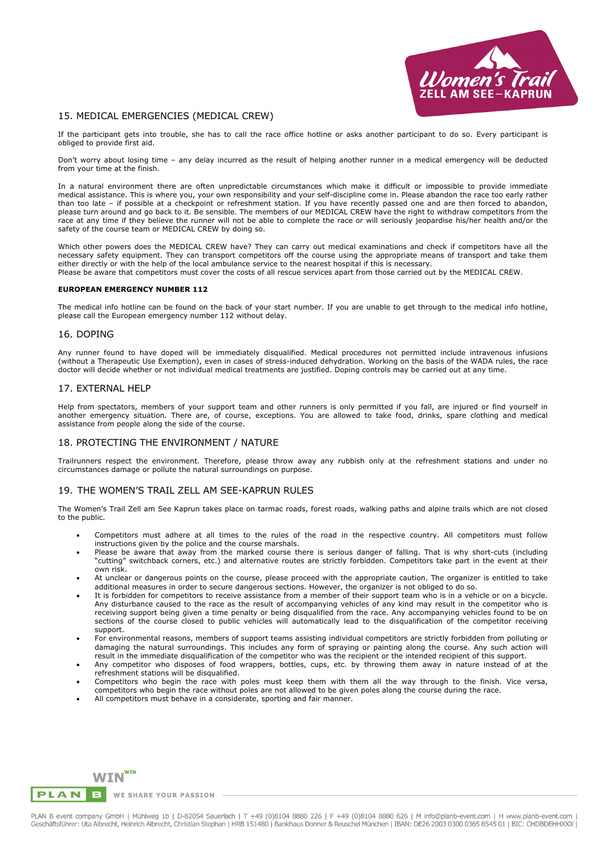

# 15. MEDICAL EMERGENCIES (MEDICAL CREW)

If the participant gets into trouble, she has to call the race office hotline or asks another participant to do so. Every participant is obliged to provide first aid.

Don't worry about losing time – any delay incurred as the result of helping another runner in a medical emergency will be deducted from your time at the finish.

In a natural environment there are often unpredictable circumstances which make it difficult or impossible to provide immediate medical assistance. This is where you, your own responsibility and your self-discipline come in. Please abandon the race too early rather than too late – if possible at a checkpoint or refreshment station. If you have recently passed one and are then forced to abandon, please turn around and go back to it. Be sensible. The members of our MEDICAL CREW have the right to withdraw competitors from the race at any time if they believe the runner will not be able to complete the race or will seriously jeopardise his/her health and/or the safety of the course team or MEDICAL CREW by doing so.

Which other powers does the MEDICAL CREW have? They can carry out medical examinations and check if competitors have all the necessary safety equipment. They can transport competitors off the course using the appropriate means of transport and take them either directly or with the help of the local ambulance service to the nearest hospital if this is necessary. Please be aware that competitors must cover the costs of all rescue services apart from those carried out by the MEDICAL CREW.

#### **EUROPEAN EMERGENCY NUMBER 112**

The medical info hotline can be found on the back of your start number. If you are unable to get through to the medical info hotline, please call the European emergency number 112 without delay.

#### 16. DOPING

Any runner found to have doped will be immediately disqualified. Medical procedures not permitted include intravenous infusions (without a Therapeutic Use Exemption), even in cases of stress-induced dehydration. Working on the basis of the WADA rules, the race doctor will decide whether or not individual medical treatments are justified. Doping controls may be carried out at any time.

#### 17. EXTERNAL HELP

Help from spectators, members of your support team and other runners is only permitted if you fall, are injured or find yourself in another emergency situation. There are, of course, exceptions. You are allowed to take food, drinks, spare clothing and medical assistance from people along the side of the course.

## 18. PROTECTING THE ENVIRONMENT / NATURE

Trailrunners respect the environment. Therefore, please throw away any rubbish only at the refreshment stations and under no circumstances damage or pollute the natural surroundings on purpose.

## 19. THE WOMEN'S TRAIL ZELL AM SEE-KAPRUN RULES

The Women's Trail Zell am See Kaprun takes place on tarmac roads, forest roads, walking paths and alpine trails which are not closed to the public.

- Competitors must adhere at all times to the rules of the road in the respective country. All competitors must follow instructions given by the police and the course marshals.
- Please be aware that away from the marked course there is serious danger of falling. That is why short-cuts (including "cutting" switchback corners, etc.) and alternative routes are strictly forbidden. Competitors take part in the event at their own risk.
- At unclear or dangerous points on the course, please proceed with the appropriate caution. The organizer is entitled to take additional measures in order to secure dangerous sections. However, the organizer is not obliged to do so.
- It is forbidden for competitors to receive assistance from a member of their support team who is in a vehicle or on a bicycle. Any disturbance caused to the race as the result of accompanying vehicles of any kind may result in the competitor who is receiving support being given a time penalty or being disqualified from the race. Any accompanying vehicles found to be on sections of the course closed to public vehicles will automatically lead to the disqualification of the competitor receiving support.
- For environmental reasons, members of support teams assisting individual competitors are strictly forbidden from polluting or damaging the natural surroundings. This includes any form of spraying or painting along the course. Any such action will result in the immediate disqualification of the competitor who was the recipient or the intended recipient of this support.
- Any competitor who disposes of food wrappers, bottles, cups, etc. by throwing them away in nature instead of at the refreshment stations will be disqualified.
- Competitors who begin the race with poles must keep them with them all the way through to the finish. Vice versa, competitors who begin the race without poles are not allowed to be given poles along the course during the race.
- All competitors must behave in a considerate, sporting and fair manner.



B WE SHARE YOUR PASSION